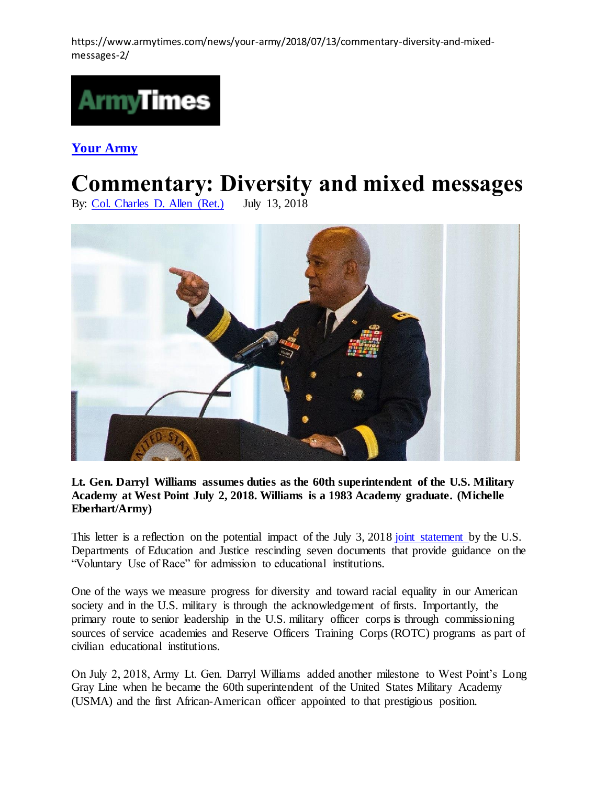https://www.armytimes.com/news/your-army/2018/07/13/commentary-diversity-and-mixedmessages-2/



**[Your Army](https://www.armytimes.com/news/your-army/)** 

## **Commentary: Diversity and mixed messages**

By: [Col. Charles D. Allen \(Ret.\)](https://www.armytimes.com/author/col.-charles-d.-allen-(ret.)) July 13, 2018



## **Lt. Gen. Darryl Williams assumes duties as the 60th superintendent of the U.S. Military Academy at West Point July 2, 2018. Williams is a 1983 Academy graduate. (Michelle Eberhart/Army)**

This letter is a reflection on the potential impact of the July 3, 2018 [joint statement b](https://content.govdelivery.com/accounts/USED/bulletins/1fbe0e1)y the U.S. Departments of Education and Justice rescinding seven documents that provide guidance on the "Voluntary Use of Race" for admission to educational institutions.

One of the ways we measure progress for diversity and toward racial equality in our American society and in the U.S. military is through the acknowledgement of firsts. Importantly, the primary route to senior leadership in the U.S. military officer corps is through commissioning sources of service academies and Reserve Officers Training Corps (ROTC) programs as part of civilian educational institutions.

On July 2, 2018, Army Lt. Gen. Darryl Williams added another milestone to West Point's Long Gray Line when he became the 60th superintendent of the United States Military Academy (USMA) and the first African-American officer appointed to that prestigious position.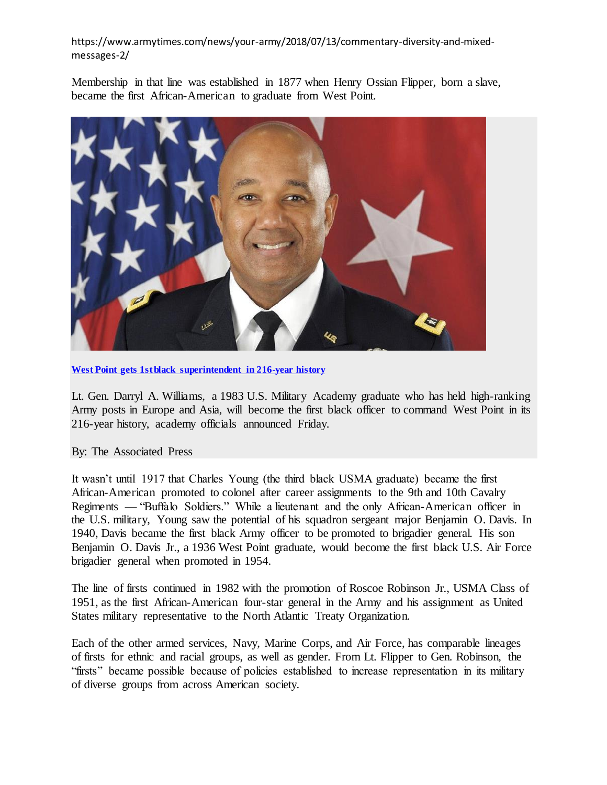## https://www.armytimes.com/news/your-army/2018/07/13/commentary-diversity-and-mixedmessages-2/

Membership in that line was established in 1877 when Henry Ossian Flipper, born a slave, became the first African-American to graduate from West Point.



[West Point gets 1st black superintendent in 216-year history](https://www.armytimes.com/news/your-army/2018/07/01/west-point-gets-1st-black-superintendent-in-216-year-history/)

Lt. Gen. Darryl A. Williams, a 1983 U.S. Military Academy graduate who has held high-ranking Army posts in Europe and Asia, will become the first black officer to command West Point in its 216-year history, academy officials announced Friday.

## By: The Associated Press

It wasn't until 1917 that Charles Young (the third black USMA graduate) became the first African-American promoted to colonel after career assignments to the 9th and 10th Cavalry Regiments — "Buffalo Soldiers." While a lieutenant and the only African-American officer in the U.S. military, Young saw the potential of his squadron sergeant major Benjamin O. Davis. In 1940, Davis became the first black Army officer to be promoted to brigadier general. His son Benjamin O. Davis Jr., a 1936 West Point graduate, would become the first black U.S. Air Force brigadier general when promoted in 1954.

The line of firsts continued in 1982 with the promotion of Roscoe Robinson Jr., USMA Class of 1951, as the first African-American four-star general in the Army and his assignment as United States military representative to the North Atlantic Treaty Organization.

Each of the other armed services, Navy, Marine Corps, and Air Force, has comparable lineages of firsts for ethnic and racial groups, as well as gender. From Lt. Flipper to Gen. Robinson, the "firsts" became possible because of policies established to increase representation in its military of diverse groups from across American society.